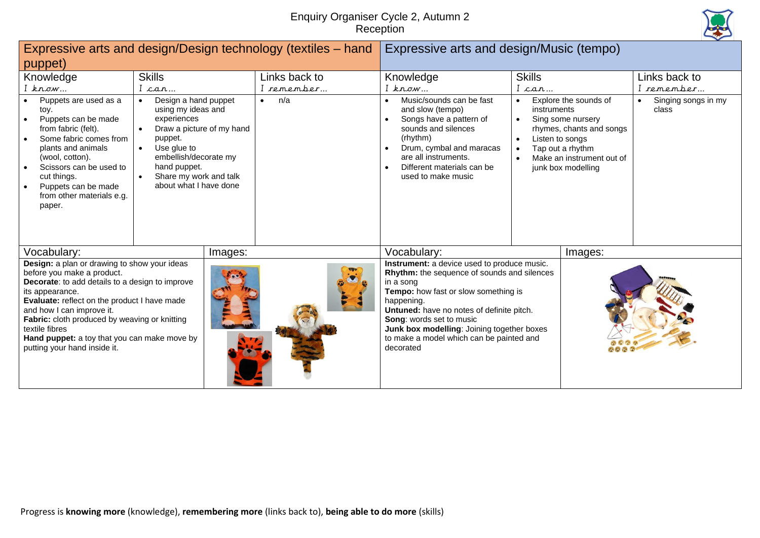## Enquiry Organiser Cycle 2, Autumn 2 **Reception**



|                                                                                                                                                                                                                                                                                                                                                                                  |                                                                                                                                                                                                                                                                   |         | Expressive arts and design/Design technology (textiles – hand | Expressive arts and design/Music (tempo)                                                                                                                                                                                                                                                                                                             |                                                                                                                                                                                 |  |                                           |  |
|----------------------------------------------------------------------------------------------------------------------------------------------------------------------------------------------------------------------------------------------------------------------------------------------------------------------------------------------------------------------------------|-------------------------------------------------------------------------------------------------------------------------------------------------------------------------------------------------------------------------------------------------------------------|---------|---------------------------------------------------------------|------------------------------------------------------------------------------------------------------------------------------------------------------------------------------------------------------------------------------------------------------------------------------------------------------------------------------------------------------|---------------------------------------------------------------------------------------------------------------------------------------------------------------------------------|--|-------------------------------------------|--|
| puppet)                                                                                                                                                                                                                                                                                                                                                                          |                                                                                                                                                                                                                                                                   |         |                                                               |                                                                                                                                                                                                                                                                                                                                                      |                                                                                                                                                                                 |  |                                           |  |
| Knowledge<br>$I$ know                                                                                                                                                                                                                                                                                                                                                            | <b>Skills</b><br>car                                                                                                                                                                                                                                              |         | Links back to<br>I remember…                                  | Knowledge<br>I know                                                                                                                                                                                                                                                                                                                                  | <b>Skills</b><br>I car…                                                                                                                                                         |  | Links back to<br>remember                 |  |
| Puppets are used as a<br>toy.<br>Puppets can be made<br>from fabric (felt).<br>Some fabric comes from<br>plants and animals<br>(wool, cotton).<br>Scissors can be used to<br>cut things.<br>Puppets can be made<br>$\bullet$<br>from other materials e.g.<br>paper.                                                                                                              | Design a hand puppet<br>$\bullet$<br>using my ideas and<br>experiences<br>Draw a picture of my hand<br>$\bullet$<br>puppet.<br>Use glue to<br>$\bullet$<br>embellish/decorate my<br>hand puppet.<br>Share my work and talk<br>$\bullet$<br>about what I have done |         | n/a<br>$\bullet$                                              | Music/sounds can be fast<br>$\bullet$<br>and slow (tempo)<br>Songs have a pattern of<br>sounds and silences<br>(rhythm)<br>Drum, cymbal and maracas<br>are all instruments.<br>Different materials can be<br>$\bullet$<br>used to make music                                                                                                         | Explore the sounds of<br>instruments<br>Sing some nursery<br>rhymes, chants and songs<br>Listen to songs<br>Tap out a rhythm<br>Make an instrument out of<br>junk box modelling |  | Singing songs in my<br>$\bullet$<br>class |  |
| Vocabulary:                                                                                                                                                                                                                                                                                                                                                                      |                                                                                                                                                                                                                                                                   | Images: |                                                               | Vocabulary:                                                                                                                                                                                                                                                                                                                                          | Images:                                                                                                                                                                         |  |                                           |  |
| Design: a plan or drawing to show your ideas<br>before you make a product.<br>Decorate: to add details to a design to improve<br>its appearance.<br>Evaluate: reflect on the product I have made<br>and how I can improve it.<br>Fabric: cloth produced by weaving or knitting<br>textile fibres<br>Hand puppet: a toy that you can make move by<br>putting your hand inside it. |                                                                                                                                                                                                                                                                   |         |                                                               | Instrument: a device used to produce music.<br>Rhythm: the sequence of sounds and silences<br>in a song<br>Tempo: how fast or slow something is<br>happening.<br>Untuned: have no notes of definite pitch.<br><b>Song: words set to music</b><br>Junk box modelling: Joining together boxes<br>to make a model which can be painted and<br>decorated |                                                                                                                                                                                 |  |                                           |  |